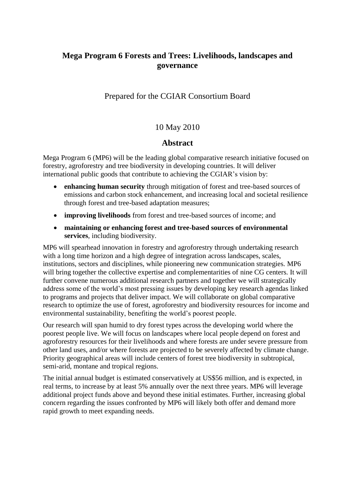# **Mega Program 6 Forests and Trees: Livelihoods, landscapes and governance**

# Prepared for the CGIAR Consortium Board

# 10 May 2010

# **Abstract**

Mega Program 6 (MP6) will be the leading global comparative research initiative focused on forestry, agroforestry and tree biodiversity in developing countries. It will deliver international public goods that contribute to achieving the CGIAR's vision by:

- **enhancing human security** through mitigation of forest and tree-based sources of emissions and carbon stock enhancement, and increasing local and societal resilience through forest and tree-based adaptation measures;
- **improving livelihoods** from forest and tree-based sources of income; and
- **maintaining or enhancing forest and tree-based sources of environmental services**, including biodiversity.

MP6 will spearhead innovation in forestry and agroforestry through undertaking research with a long time horizon and a high degree of integration across landscapes, scales, institutions, sectors and disciplines, while pioneering new communication strategies. MP6 will bring together the collective expertise and complementarities of nine CG centers. It will further convene numerous additional research partners and together we will strategically address some of the world's most pressing issues by developing key research agendas linked to programs and projects that deliver impact. We will collaborate on global comparative research to optimize the use of forest, agroforestry and biodiversity resources for income and environmental sustainability, benefiting the world's poorest people.

Our research will span humid to dry forest types across the developing world where the poorest people live. We will focus on landscapes where local people depend on forest and agroforestry resources for their livelihoods and where forests are under severe pressure from other land uses, and/or where forests are projected to be severely affected by climate change. Priority geographical areas will include centers of forest tree biodiversity in subtropical, semi-arid, montane and tropical regions.

The initial annual budget is estimated conservatively at US\$56 million, and is expected, in real terms, to increase by at least 5% annually over the next three years. MP6 will leverage additional project funds above and beyond these initial estimates. Further, increasing global concern regarding the issues confronted by MP6 will likely both offer and demand more rapid growth to meet expanding needs.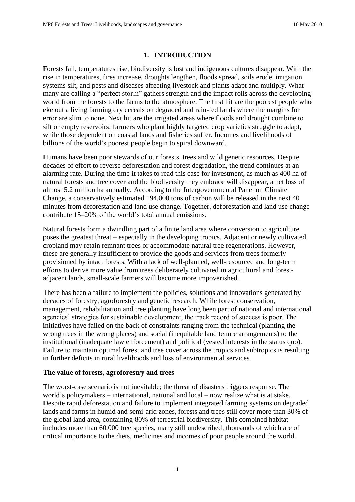### **1. INTRODUCTION**

Forests fall, temperatures rise, biodiversity is lost and indigenous cultures disappear. With the rise in temperatures, fires increase, droughts lengthen, floods spread, soils erode, irrigation systems silt, and pests and diseases affecting livestock and plants adapt and multiply. What many are calling a "perfect storm" gathers strength and the impact rolls across the developing world from the forests to the farms to the atmosphere. The first hit are the poorest people who eke out a living farming dry cereals on degraded and rain-fed lands where the margins for error are slim to none. Next hit are the irrigated areas where floods and drought combine to silt or empty reservoirs; farmers who plant highly targeted crop varieties struggle to adapt, while those dependent on coastal lands and fisheries suffer. Incomes and livelihoods of billions of the world's poorest people begin to spiral downward.

Humans have been poor stewards of our forests, trees and wild genetic resources. Despite decades of effort to reverse deforestation and forest degradation, the trend continues at an alarming rate. During the time it takes to read this case for investment, as much as 400 ha of natural forests and tree cover and the biodiversity they embrace will disappear, a net loss of almost 5.2 million ha annually. According to the Intergovernmental Panel on Climate Change, a conservatively estimated 194,000 tons of carbon will be released in the next 40 minutes from deforestation and land use change. Together, deforestation and land use change contribute 15–20% of the world's total annual emissions.

Natural forests form a dwindling part of a finite land area where conversion to agriculture poses the greatest threat – especially in the developing tropics. Adjacent or newly cultivated cropland may retain remnant trees or accommodate natural tree regenerations. However, these are generally insufficient to provide the goods and services from trees formerly provisioned by intact forests. With a lack of well-planned, well-resourced and long-term efforts to derive more value from trees deliberately cultivated in agricultural and forestadjacent lands, small-scale farmers will become more impoverished.

There has been a failure to implement the policies, solutions and innovations generated by decades of forestry, agroforestry and genetic research. While forest conservation, management, rehabilitation and tree planting have long been part of national and international agencies' strategies for sustainable development, the track record of success is poor. The initiatives have failed on the back of constraints ranging from the technical (planting the wrong trees in the wrong places) and social (inequitable land tenure arrangements) to the institutional (inadequate law enforcement) and political (vested interests in the status quo). Failure to maintain optimal forest and tree cover across the tropics and subtropics is resulting in further deficits in rural livelihoods and loss of environmental services.

### **The value of forests, agroforestry and trees**

The worst-case scenario is not inevitable; the threat of disasters triggers response. The world's policymakers – international, national and local – now realize what is at stake. Despite rapid deforestation and failure to implement integrated farming systems on degraded lands and farms in humid and semi-arid zones, forests and trees still cover more than 30% of the global land area, containing 80% of terrestrial biodiversity. This combined habitat includes more than 60,000 tree species, many still undescribed, thousands of which are of critical importance to the diets, medicines and incomes of poor people around the world.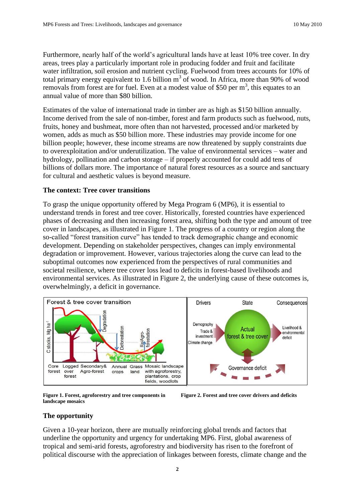Furthermore, nearly half of the world's agricultural lands have at least 10% tree cover. In dry areas, trees play a particularly important role in producing fodder and fruit and facilitate water infiltration, soil erosion and nutrient cycling. Fuelwood from trees accounts for 10% of total primary energy equivalent to 1.6 billion  $m<sup>3</sup>$  of wood. In Africa, more than 90% of wood removals from forest are for fuel. Even at a modest value of \$50 per  $m<sup>3</sup>$ , this equates to an annual value of more than \$80 billion.

Estimates of the value of international trade in timber are as high as \$150 billion annually. Income derived from the sale of non-timber, forest and farm products such as fuelwood, nuts, fruits, honey and bushmeat, more often than not harvested, processed and/or marketed by women, adds as much as \$50 billion more. These industries may provide income for one billion people; however, these income streams are now threatened by supply constraints due to overexploitation and/or underutilization. The value of environmental services – water and hydrology, pollination and carbon storage – if properly accounted for could add tens of billions of dollars more. The importance of natural forest resources as a source and sanctuary for cultural and aesthetic values is beyond measure.

#### **The context: Tree cover transitions**

To grasp the unique opportunity offered by Mega Program 6 (MP6), it is essential to understand trends in forest and tree cover. Historically, forested countries have experienced phases of decreasing and then increasing forest area, shifting both the type and amount of tree cover in landscapes, as illustrated in Figure 1. The progress of a country or region along the so-called "forest transition curve" has tended to track demographic change and economic development. Depending on stakeholder perspectives, changes can imply environmental degradation or improvement. However, various trajectories along the curve can lead to the suboptimal outcomes now experienced from the perspectives of rural communities and societal resilience, where tree cover loss lead to deficits in forest-based livelihoods and environmental services. As illustrated in Figure 2, the underlying cause of these outcomes is, overwhelmingly, a deficit in governance.



**Figure 1. Forest, agroforestry and tree components in landscape mosaics**

**Figure 2. Forest and tree cover drivers and deficits**

### **The opportunity**

Given a 10-year horizon, there are mutually reinforcing global trends and factors that underline the opportunity and urgency for undertaking MP6. First, global awareness of tropical and semi-arid forests, agroforestry and biodiversity has risen to the forefront of political discourse with the appreciation of linkages between forests, climate change and the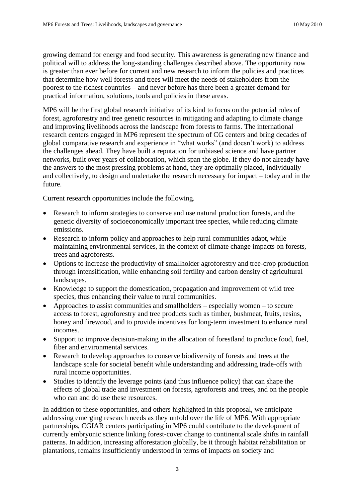growing demand for energy and food security. This awareness is generating new finance and political will to address the long-standing challenges described above. The opportunity now is greater than ever before for current and new research to inform the policies and practices that determine how well forests and trees will meet the needs of stakeholders from the poorest to the richest countries – and never before has there been a greater demand for practical information, solutions, tools and policies in these areas.

MP6 will be the first global research initiative of its kind to focus on the potential roles of forest, agroforestry and tree genetic resources in mitigating and adapting to climate change and improving livelihoods across the landscape from forests to farms. The international research centers engaged in MP6 represent the spectrum of CG centers and bring decades of global comparative research and experience in "what works" (and doesn't work) to address the challenges ahead. They have built a reputation for unbiased science and have partner networks, built over years of collaboration, which span the globe. If they do not already have the answers to the most pressing problems at hand, they are optimally placed, individually and collectively, to design and undertake the research necessary for impact – today and in the future.

Current research opportunities include the following.

- Research to inform strategies to conserve and use natural production forests, and the genetic diversity of socioeconomically important tree species, while reducing climate emissions.
- Research to inform policy and approaches to help rural communities adapt, while maintaining environmental services, in the context of climate change impacts on forests, trees and agroforests.
- Options to increase the productivity of smallholder agroforestry and tree-crop production through intensification, while enhancing soil fertility and carbon density of agricultural landscapes.
- Knowledge to support the domestication, propagation and improvement of wild tree species, thus enhancing their value to rural communities.
- Approaches to assist communities and smallholders especially women to secure access to forest, agroforestry and tree products such as timber, bushmeat, fruits, resins, honey and firewood, and to provide incentives for long-term investment to enhance rural incomes.
- Support to improve decision-making in the allocation of forestland to produce food, fuel, fiber and environmental services.
- Research to develop approaches to conserve biodiversity of forests and trees at the landscape scale for societal benefit while understanding and addressing trade-offs with rural income opportunities.
- Studies to identify the leverage points (and thus influence policy) that can shape the effects of global trade and investment on forests, agroforests and trees, and on the people who can and do use these resources.

In addition to these opportunities, and others highlighted in this proposal, we anticipate addressing emerging research needs as they unfold over the life of MP6. With appropriate partnerships, CGIAR centers participating in MP6 could contribute to the development of currently embryonic science linking forest-cover change to continental scale shifts in rainfall patterns. In addition, increasing afforestation globally, be it through habitat rehabilitation or plantations, remains insufficiently understood in terms of impacts on society and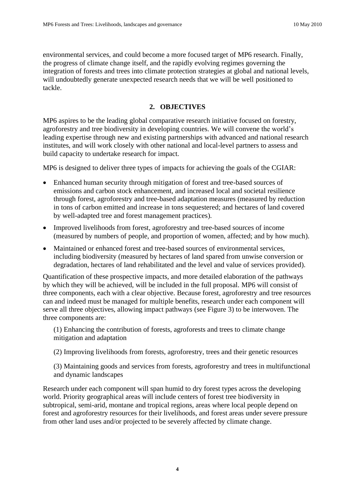environmental services, and could become a more focused target of MP6 research. Finally, the progress of climate change itself, and the rapidly evolving regimes governing the integration of forests and trees into climate protection strategies at global and national levels, will undoubtedly generate unexpected research needs that we will be well positioned to tackle.

# **2. OBJECTIVES**

MP6 aspires to be the leading global comparative research initiative focused on forestry, agroforestry and tree biodiversity in developing countries. We will convene the world's leading expertise through new and existing partnerships with advanced and national research institutes, and will work closely with other national and local-level partners to assess and build capacity to undertake research for impact.

MP6 is designed to deliver three types of impacts for achieving the goals of the CGIAR:

- Enhanced human security through mitigation of forest and tree-based sources of emissions and carbon stock enhancement, and increased local and societal resilience through forest, agroforestry and tree-based adaptation measures (measured by reduction in tons of carbon emitted and increase in tons sequestered; and hectares of land covered by well-adapted tree and forest management practices).
- Improved livelihoods from forest, agroforestry and tree-based sources of income (measured by numbers of people, and proportion of women, affected; and by how much).
- Maintained or enhanced forest and tree-based sources of environmental services, including biodiversity (measured by hectares of land spared from unwise conversion or degradation, hectares of land rehabilitated and the level and value of services provided).

Quantification of these prospective impacts, and more detailed elaboration of the pathways by which they will be achieved, will be included in the full proposal. MP6 will consist of three components, each with a clear objective. Because forest, agroforestry and tree resources can and indeed must be managed for multiple benefits, research under each component will serve all three objectives, allowing impact pathways (see Figure 3) to be interwoven. The three components are:

(1) Enhancing the contribution of forests, agroforests and trees to climate change mitigation and adaptation

(2) Improving livelihoods from forests, agroforestry, trees and their genetic resources

(3) Maintaining goods and services from forests, agroforestry and trees in multifunctional and dynamic landscapes

Research under each component will span humid to dry forest types across the developing world. Priority geographical areas will include centers of forest tree biodiversity in subtropical, semi-arid, montane and tropical regions, areas where local people depend on forest and agroforestry resources for their livelihoods, and forest areas under severe pressure from other land uses and/or projected to be severely affected by climate change.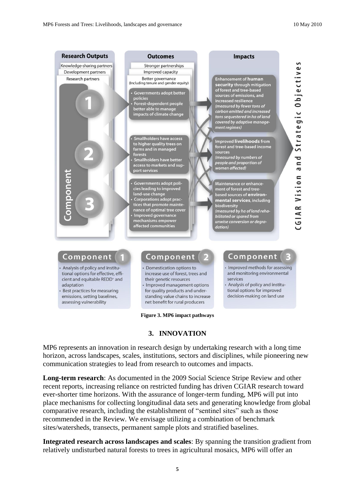

# **3. INNOVATION**

MP6 represents an innovation in research design by undertaking research with a long time horizon, across landscapes, scales, institutions, sectors and disciplines, while pioneering new communication strategies to lead from research to outcomes and impacts.

**Long-term research**: As documented in the 2009 Social Science Stripe Review and other recent reports, increasing reliance on restricted funding has driven CGIAR research toward ever-shorter time horizons. With the assurance of longer-term funding, MP6 will put into place mechanisms for collecting longitudinal data sets and generating knowledge from global comparative research, including the establishment of "sentinel sites" such as those recommended in the Review. We envisage utilizing a combination of benchmark sites/watersheds, transects, permanent sample plots and stratified baselines.

**Integrated research across landscapes and scales**: By spanning the transition gradient from relatively undisturbed natural forests to trees in agricultural mosaics, MP6 will offer an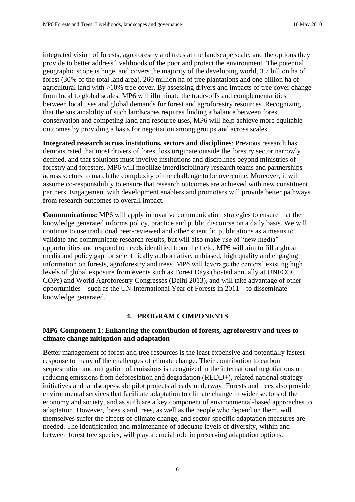integrated vision of forests, agroforestry and trees at the landscape scale, and the options they provide to better address livelihoods of the poor and protect the environment. The potential geographic scope is huge, and covers the majority of the developing world, 3.7 billion ha of forest (30% of the total land area), 260 million ha of tree plantations and one billion ha of agricultural land with >10% tree cover. By assessing drivers and impacts of tree cover change from local to global scales, MP6 will illuminate the trade-offs and complementarities between local uses and global demands for forest and agroforestry resources. Recognizing that the sustainability of such landscapes requires finding a balance between forest conservation and competing land and resource uses, MP6 will help achieve more equitable outcomes by providing a basis for negotiation among groups and across scales.

**Integrated research across institutions, sectors and disciplines**: Previous research has demonstrated that most drivers of forest loss originate outside the forestry sector narrowly defined, and that solutions must involve institutions and disciplines beyond ministries of forestry and foresters. MP6 will mobilize interdisciplinary research teams and partnerships across sectors to match the complexity of the challenge to be overcome. Moreover, it will assume co-responsibility to ensure that research outcomes are achieved with new constituent partners. Engagement with development enablers and promoters will provide better pathways from research outcomes to overall impact.

**Communications:** MP6 will apply innovative communication strategies to ensure that the knowledge generated informs policy, practice and public discourse on a daily basis. We will continue to use traditional peer-reviewed and other scientific publications as a means to validate and communicate research results, but will also make use of "new media" opportunities and respond to needs identified from the field. MP6 will aim to fill a global media and policy gap for scientifically authoritative, unbiased, high quality and engaging information on forests, agroforestry and trees. MP6 will leverage the centers' existing high levels of global exposure from events such as Forest Days (hosted annually at UNFCCC COPs) and World Agroforestry Congresses (Delhi 2013), and will take advantage of other opportunities – such as the UN International Year of Forests in 2011 – to disseminate knowledge generated.

### **4. PROGRAM COMPONENTS**

# **MP6-Component 1: Enhancing the contribution of forests, agroforestry and trees to climate change mitigation and adaptation**

Better management of forest and tree resources is the least expensive and potentially fastest response to many of the challenges of climate change. Their contribution to carbon sequestration and mitigation of emissions is recognized in the international negotiations on reducing emissions from deforestation and degradation (REDD+), related national strategy initiatives and landscape-scale pilot projects already underway. Forests and trees also provide environmental services that facilitate adaptation to climate change in wider sectors of the economy and society, and as such are a key component of environmental-based approaches to adaptation. However, forests and trees, as well as the people who depend on them, will themselves suffer the effects of climate change, and sector-specific adaptation measures are needed. The identification and maintenance of adequate levels of diversity, within and between forest tree species, will play a crucial role in preserving adaptation options.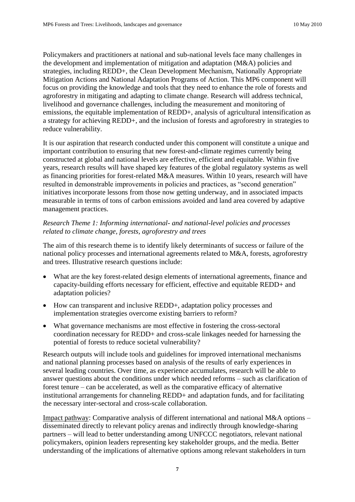Policymakers and practitioners at national and sub-national levels face many challenges in the development and implementation of mitigation and adaptation (M&A) policies and strategies, including REDD+, the Clean Development Mechanism, Nationally Appropriate Mitigation Actions and National Adaptation Programs of Action. This MP6 component will focus on providing the knowledge and tools that they need to enhance the role of forests and agroforestry in mitigating and adapting to climate change. Research will address technical, livelihood and governance challenges, including the measurement and monitoring of emissions, the equitable implementation of REDD+, analysis of agricultural intensification as a strategy for achieving REDD+, and the inclusion of forests and agroforestry in strategies to reduce vulnerability.

It is our aspiration that research conducted under this component will constitute a unique and important contribution to ensuring that new forest-and-climate regimes currently being constructed at global and national levels are effective, efficient and equitable. Within five years, research results will have shaped key features of the global regulatory systems as well as financing priorities for forest-related M&A measures. Within 10 years, research will have resulted in demonstrable improvements in policies and practices, as "second generation" initiatives incorporate lessons from those now getting underway, and in associated impacts measurable in terms of tons of carbon emissions avoided and land area covered by adaptive management practices.

# *Research Theme 1: Informing international- and national-level policies and processes related to climate change, forests, agroforestry and trees*

The aim of this research theme is to identify likely determinants of success or failure of the national policy processes and international agreements related to M&A, forests, agroforestry and trees. Illustrative research questions include:

- What are the key forest-related design elements of international agreements, finance and capacity-building efforts necessary for efficient, effective and equitable REDD+ and adaptation policies?
- How can transparent and inclusive REDD+, adaptation policy processes and implementation strategies overcome existing barriers to reform?
- What governance mechanisms are most effective in fostering the cross-sectoral coordination necessary for REDD+ and cross-scale linkages needed for harnessing the potential of forests to reduce societal vulnerability?

Research outputs will include tools and guidelines for improved international mechanisms and national planning processes based on analysis of the results of early experiences in several leading countries. Over time, as experience accumulates, research will be able to answer questions about the conditions under which needed reforms – such as clarification of forest tenure – can be accelerated, as well as the comparative efficacy of alternative institutional arrangements for channeling REDD+ and adaptation funds, and for facilitating the necessary inter-sectoral and cross-scale collaboration.

Impact pathway: Comparative analysis of different international and national M&A options – disseminated directly to relevant policy arenas and indirectly through knowledge-sharing partners – will lead to better understanding among UNFCCC negotiators, relevant national policymakers, opinion leaders representing key stakeholder groups, and the media. Better understanding of the implications of alternative options among relevant stakeholders in turn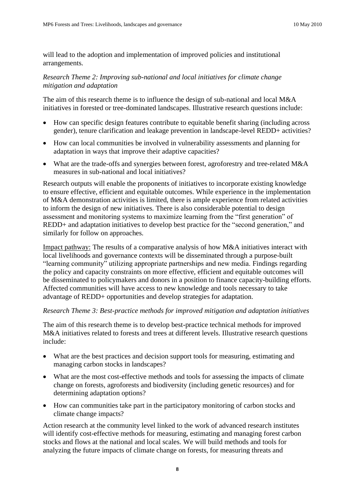will lead to the adoption and implementation of improved policies and institutional arrangements.

# *Research Theme 2: Improving sub-national and local initiatives for climate change mitigation and adaptation*

The aim of this research theme is to influence the design of sub-national and local M&A initiatives in forested or tree-dominated landscapes. Illustrative research questions include:

- How can specific design features contribute to equitable benefit sharing (including across gender), tenure clarification and leakage prevention in landscape-level REDD+ activities?
- How can local communities be involved in vulnerability assessments and planning for adaptation in ways that improve their adaptive capacities?
- What are the trade-offs and synergies between forest, agroforestry and tree-related M&A measures in sub-national and local initiatives?

Research outputs will enable the proponents of initiatives to incorporate existing knowledge to ensure effective, efficient and equitable outcomes. While experience in the implementation of M&A demonstration activities is limited, there is ample experience from related activities to inform the design of new initiatives. There is also considerable potential to design assessment and monitoring systems to maximize learning from the "first generation" of REDD+ and adaptation initiatives to develop best practice for the "second generation," and similarly for follow on approaches.

Impact pathway: The results of a comparative analysis of how M&A initiatives interact with local livelihoods and governance contexts will be disseminated through a purpose-built "learning community" utilizing appropriate partnerships and new media. Findings regarding the policy and capacity constraints on more effective, efficient and equitable outcomes will be disseminated to policymakers and donors in a position to finance capacity-building efforts. Affected communities will have access to new knowledge and tools necessary to take advantage of REDD+ opportunities and develop strategies for adaptation.

# *Research Theme 3: Best-practice methods for improved mitigation and adaptation initiatives*

The aim of this research theme is to develop best-practice technical methods for improved M&A initiatives related to forests and trees at different levels. Illustrative research questions include:

- What are the best practices and decision support tools for measuring, estimating and managing carbon stocks in landscapes?
- What are the most cost-effective methods and tools for assessing the impacts of climate change on forests, agroforests and biodiversity (including genetic resources) and for determining adaptation options?
- How can communities take part in the participatory monitoring of carbon stocks and climate change impacts?

Action research at the community level linked to the work of advanced research institutes will identify cost-effective methods for measuring, estimating and managing forest carbon stocks and flows at the national and local scales. We will build methods and tools for analyzing the future impacts of climate change on forests, for measuring threats and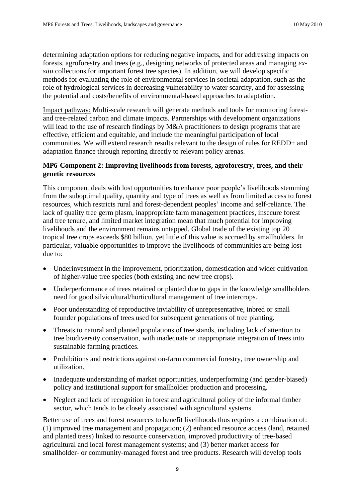determining adaptation options for reducing negative impacts, and for addressing impacts on forests, agroforestry and trees (e.g., designing networks of protected areas and managing *exsitu* collections for important forest tree species). In addition, we will develop specific methods for evaluating the role of environmental services in societal adaptation, such as the role of hydrological services in decreasing vulnerability to water scarcity, and for assessing the potential and costs/benefits of environmental-based approaches to adaptation.

Impact pathway: Multi-scale research will generate methods and tools for monitoring forestand tree-related carbon and climate impacts. Partnerships with development organizations will lead to the use of research findings by M&A practitioners to design programs that are effective, efficient and equitable, and include the meaningful participation of local communities. We will extend research results relevant to the design of rules for REDD+ and adaptation finance through reporting directly to relevant policy arenas.

### **MP6-Component 2: Improving livelihoods from forests, agroforestry, trees, and their genetic resources**

This component deals with lost opportunities to enhance poor people's livelihoods stemming from the suboptimal quality, quantity and type of trees as well as from limited access to forest resources, which restricts rural and forest-dependent peoples' income and self-reliance. The lack of quality tree germ plasm, inappropriate farm management practices, insecure forest and tree tenure, and limited market integration mean that much potential for improving livelihoods and the environment remains untapped. Global trade of the existing top 20 tropical tree crops exceeds \$80 billion, yet little of this value is accrued by smallholders. In particular, valuable opportunities to improve the livelihoods of communities are being lost due to:

- Underinvestment in the improvement, prioritization, domestication and wider cultivation of higher-value tree species (both existing and new tree crops).
- Underperformance of trees retained or planted due to gaps in the knowledge smallholders need for good silvicultural/horticultural management of tree intercrops.
- Poor understanding of reproductive inviability of unrepresentative, inbred or small founder populations of trees used for subsequent generations of tree planting.
- Threats to natural and planted populations of tree stands, including lack of attention to tree biodiversity conservation, with inadequate or inappropriate integration of trees into sustainable farming practices.
- Prohibitions and restrictions against on-farm commercial forestry, tree ownership and utilization.
- Inadequate understanding of market opportunities, underperforming (and gender-biased) policy and institutional support for smallholder production and processing.
- Neglect and lack of recognition in forest and agricultural policy of the informal timber sector, which tends to be closely associated with agricultural systems.

Better use of trees and forest resources to benefit livelihoods thus requires a combination of: (1) improved tree management and propagation; (2) enhanced resource access (land, retained and planted trees) linked to resource conservation, improved productivity of tree-based agricultural and local forest management systems; and (3) better market access for smallholder- or community-managed forest and tree products. Research will develop tools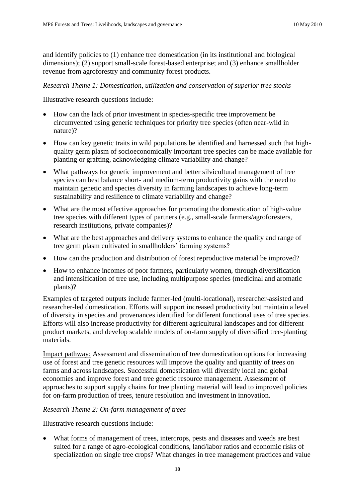and identify policies to (1) enhance tree domestication (in its institutional and biological dimensions); (2) support small-scale forest-based enterprise; and (3) enhance smallholder revenue from agroforestry and community forest products.

# *Research Theme 1: Domestication, utilization and conservation of superior tree stocks*

Illustrative research questions include:

- How can the lack of prior investment in species-specific tree improvement be circumvented using generic techniques for priority tree species (often near-wild in nature)?
- How can key genetic traits in wild populations be identified and harnessed such that highquality germ plasm of socioeconomically important tree species can be made available for planting or grafting, acknowledging climate variability and change?
- What pathways for genetic improvement and better silvicultural management of tree species can best balance short- and medium-term productivity gains with the need to maintain genetic and species diversity in farming landscapes to achieve long-term sustainability and resilience to climate variability and change?
- What are the most effective approaches for promoting the domestication of high-value tree species with different types of partners (e.g., small-scale farmers/agroforesters, research institutions, private companies)?
- What are the best approaches and delivery systems to enhance the quality and range of tree germ plasm cultivated in smallholders' farming systems?
- How can the production and distribution of forest reproductive material be improved?
- How to enhance incomes of poor farmers, particularly women, through diversification and intensification of tree use, including multipurpose species (medicinal and aromatic plants)?

Examples of targeted outputs include farmer-led (multi-locational), researcher-assisted and researcher-led domestication. Efforts will support increased productivity but maintain a level of diversity in species and provenances identified for different functional uses of tree species. Efforts will also increase productivity for different agricultural landscapes and for different product markets, and develop scalable models of on-farm supply of diversified tree-planting materials.

Impact pathway: Assessment and dissemination of tree domestication options for increasing use of forest and tree genetic resources will improve the quality and quantity of trees on farms and across landscapes. Successful domestication will diversify local and global economies and improve forest and tree genetic resource management. Assessment of approaches to support supply chains for tree planting material will lead to improved policies for on-farm production of trees, tenure resolution and investment in innovation.

# *Research Theme 2: On-farm management of trees*

Illustrative research questions include:

 What forms of management of trees, intercrops, pests and diseases and weeds are best suited for a range of agro-ecological conditions, land/labor ratios and economic risks of specialization on single tree crops? What changes in tree management practices and value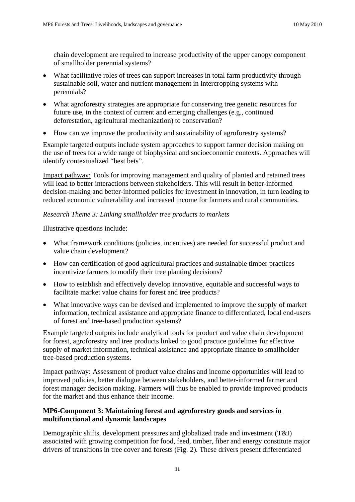chain development are required to increase productivity of the upper canopy component of smallholder perennial systems?

- What facilitative roles of trees can support increases in total farm productivity through sustainable soil, water and nutrient management in intercropping systems with perennials?
- What agroforestry strategies are appropriate for conserving tree genetic resources for future use, in the context of current and emerging challenges (e.g., continued deforestation, agricultural mechanization) to conservation?
- How can we improve the productivity and sustainability of agroforestry systems?

Example targeted outputs include system approaches to support farmer decision making on the use of trees for a wide range of biophysical and socioeconomic contexts. Approaches will identify contextualized "best bets".

Impact pathway: Tools for improving management and quality of planted and retained trees will lead to better interactions between stakeholders. This will result in better-informed decision-making and better-informed policies for investment in innovation, in turn leading to reduced economic vulnerability and increased income for farmers and rural communities.

# *Research Theme 3: Linking smallholder tree products to markets*

Illustrative questions include:

- What framework conditions (policies, incentives) are needed for successful product and value chain development?
- How can certification of good agricultural practices and sustainable timber practices incentivize farmers to modify their tree planting decisions?
- How to establish and effectively develop innovative, equitable and successful ways to facilitate market value chains for forest and tree products?
- What innovative ways can be devised and implemented to improve the supply of market information, technical assistance and appropriate finance to differentiated, local end-users of forest and tree-based production systems?

Example targeted outputs include analytical tools for product and value chain development for forest, agroforestry and tree products linked to good practice guidelines for effective supply of market information, technical assistance and appropriate finance to smallholder tree-based production systems.

Impact pathway: Assessment of product value chains and income opportunities will lead to improved policies, better dialogue between stakeholders, and better-informed farmer and forest manager decision making. Farmers will thus be enabled to provide improved products for the market and thus enhance their income.

# **MP6-Component 3: Maintaining forest and agroforestry goods and services in multifunctional and dynamic landscapes**

Demographic shifts, development pressures and globalized trade and investment (T&I) associated with growing competition for food, feed, timber, fiber and energy constitute major drivers of transitions in tree cover and forests (Fig. 2). These drivers present differentiated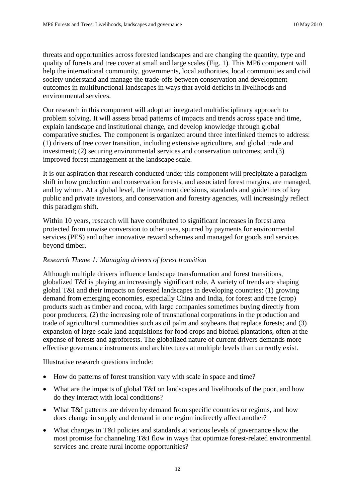threats and opportunities across forested landscapes and are changing the quantity, type and quality of forests and tree cover at small and large scales (Fig. 1). This MP6 component will help the international community, governments, local authorities, local communities and civil society understand and manage the trade-offs between conservation and development outcomes in multifunctional landscapes in ways that avoid deficits in livelihoods and environmental services.

Our research in this component will adopt an integrated multidisciplinary approach to problem solving. It will assess broad patterns of impacts and trends across space and time, explain landscape and institutional change, and develop knowledge through global comparative studies. The component is organized around three interlinked themes to address: (1) drivers of tree cover transition, including extensive agriculture, and global trade and investment; (2) securing environmental services and conservation outcomes; and (3) improved forest management at the landscape scale.

It is our aspiration that research conducted under this component will precipitate a paradigm shift in how production and conservation forests, and associated forest margins, are managed, and by whom. At a global level, the investment decisions, standards and guidelines of key public and private investors, and conservation and forestry agencies, will increasingly reflect this paradigm shift.

Within 10 years, research will have contributed to significant increases in forest area protected from unwise conversion to other uses, spurred by payments for environmental services (PES) and other innovative reward schemes and managed for goods and services beyond timber.

### *Research Theme 1: Managing drivers of forest transition*

Although multiple drivers influence landscape transformation and forest transitions, globalized T&I is playing an increasingly significant role. A variety of trends are shaping global T&I and their impacts on forested landscapes in developing countries: (1) growing demand from emerging economies, especially China and India, for forest and tree (crop) products such as timber and cocoa, with large companies sometimes buying directly from poor producers; (2) the increasing role of transnational corporations in the production and trade of agricultural commodities such as oil palm and soybeans that replace forests; and (3) expansion of large-scale land acquisitions for food crops and biofuel plantations, often at the expense of forests and agroforests. The globalized nature of current drivers demands more effective governance instruments and architectures at multiple levels than currently exist.

Illustrative research questions include:

- How do patterns of forest transition vary with scale in space and time?
- What are the impacts of global T&I on landscapes and livelihoods of the poor, and how do they interact with local conditions?
- What T&I patterns are driven by demand from specific countries or regions, and how does change in supply and demand in one region indirectly affect another?
- What changes in T&I policies and standards at various levels of governance show the most promise for channeling T&I flow in ways that optimize forest-related environmental services and create rural income opportunities?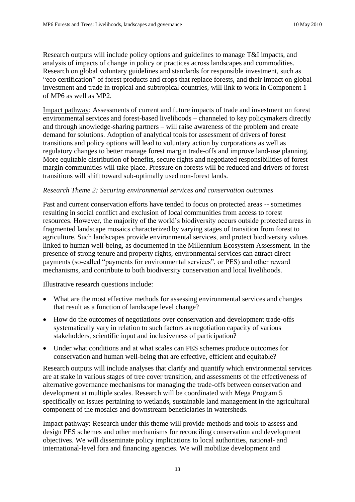Research outputs will include policy options and guidelines to manage T&I impacts, and analysis of impacts of change in policy or practices across landscapes and commodities. Research on global voluntary guidelines and standards for responsible investment, such as "eco certification" of forest products and crops that replace forests, and their impact on global investment and trade in tropical and subtropical countries, will link to work in Component 1 of MP6 as well as MP2.

Impact pathway: Assessments of current and future impacts of trade and investment on forest environmental services and forest-based livelihoods – channeled to key policymakers directly and through knowledge-sharing partners – will raise awareness of the problem and create demand for solutions. Adoption of analytical tools for assessment of drivers of forest transitions and policy options will lead to voluntary action by corporations as well as regulatory changes to better manage forest margin trade-offs and improve land-use planning. More equitable distribution of benefits, secure rights and negotiated responsibilities of forest margin communities will take place. Pressure on forests will be reduced and drivers of forest transitions will shift toward sub-optimally used non-forest lands.

### *Research Theme 2: Securing environmental services and conservation outcomes*

Past and current conservation efforts have tended to focus on protected areas -- sometimes resulting in social conflict and exclusion of local communities from access to forest resources. However, the majority of the world's biodiversity occurs outside protected areas in fragmented landscape mosaics characterized by varying stages of transition from forest to agriculture. Such landscapes provide environmental services, and protect biodiversity values linked to human well-being, as documented in the Millennium Ecosystem Assessment. In the presence of strong tenure and property rights, environmental services can attract direct payments (so-called "payments for environmental services", or PES) and other reward mechanisms, and contribute to both biodiversity conservation and local livelihoods.

Illustrative research questions include:

- What are the most effective methods for assessing environmental services and changes that result as a function of landscape level change?
- How do the outcomes of negotiations over conservation and development trade-offs systematically vary in relation to such factors as negotiation capacity of various stakeholders, scientific input and inclusiveness of participation?
- Under what conditions and at what scales can PES schemes produce outcomes for conservation and human well-being that are effective, efficient and equitable?

Research outputs will include analyses that clarify and quantify which environmental services are at stake in various stages of tree cover transition, and assessments of the effectiveness of alternative governance mechanisms for managing the trade-offs between conservation and development at multiple scales. Research will be coordinated with Mega Program 5 specifically on issues pertaining to wetlands, sustainable land management in the agricultural component of the mosaics and downstream beneficiaries in watersheds.

Impact pathway: Research under this theme will provide methods and tools to assess and design PES schemes and other mechanisms for reconciling conservation and development objectives. We will disseminate policy implications to local authorities, national- and international-level fora and financing agencies. We will mobilize development and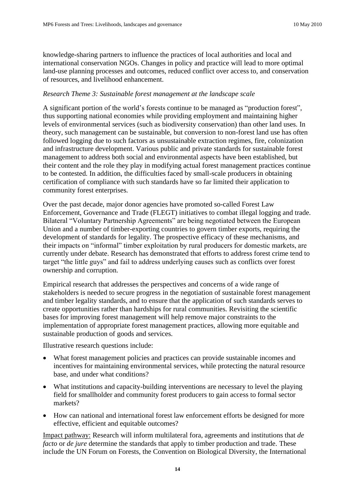knowledge-sharing partners to influence the practices of local authorities and local and international conservation NGOs. Changes in policy and practice will lead to more optimal land-use planning processes and outcomes, reduced conflict over access to, and conservation of resources, and livelihood enhancement.

#### *Research Theme 3: Sustainable forest management at the landscape scale*

A significant portion of the world's forests continue to be managed as "production forest", thus supporting national economies while providing employment and maintaining higher levels of environmental services (such as biodiversity conservation) than other land uses. In theory, such management can be sustainable, but conversion to non-forest land use has often followed logging due to such factors as unsustainable extraction regimes, fire, colonization and infrastructure development. Various public and private standards for sustainable forest management to address both social and environmental aspects have been established, but their content and the role they play in modifying actual forest management practices continue to be contested. In addition, the difficulties faced by small-scale producers in obtaining certification of compliance with such standards have so far limited their application to community forest enterprises.

Over the past decade, major donor agencies have promoted so-called Forest Law Enforcement, Governance and Trade (FLEGT) initiatives to combat illegal logging and trade. Bilateral "Voluntary Partnership Agreements" are being negotiated between the European Union and a number of timber-exporting countries to govern timber exports, requiring the development of standards for legality. The prospective efficacy of these mechanisms, and their impacts on "informal" timber exploitation by rural producers for domestic markets, are currently under debate. Research has demonstrated that efforts to address forest crime tend to target "the little guys" and fail to address underlying causes such as conflicts over forest ownership and corruption.

Empirical research that addresses the perspectives and concerns of a wide range of stakeholders is needed to secure progress in the negotiation of sustainable forest management and timber legality standards, and to ensure that the application of such standards serves to create opportunities rather than hardships for rural communities. Revisiting the scientific bases for improving forest management will help remove major constraints to the implementation of appropriate forest management practices, allowing more equitable and sustainable production of goods and services.

Illustrative research questions include:

- What forest management policies and practices can provide sustainable incomes and incentives for maintaining environmental services, while protecting the natural resource base, and under what conditions?
- What institutions and capacity-building interventions are necessary to level the playing field for smallholder and community forest producers to gain access to formal sector markets?
- How can national and international forest law enforcement efforts be designed for more effective, efficient and equitable outcomes?

Impact pathway: Research will inform multilateral fora, agreements and institutions that *de facto* or *de jure* determine the standards that apply to timber production and trade. These include the UN Forum on Forests, the Convention on Biological Diversity, the International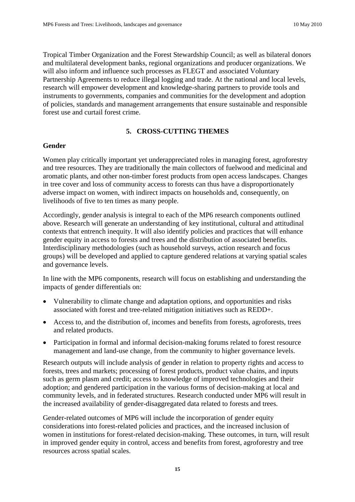Tropical Timber Organization and the Forest Stewardship Council; as well as bilateral donors and multilateral development banks, regional organizations and producer organizations. We will also inform and influence such processes as FLEGT and associated Voluntary Partnership Agreements to reduce illegal logging and trade. At the national and local levels, research will empower development and knowledge-sharing partners to provide tools and instruments to governments, companies and communities for the development and adoption of policies, standards and management arrangements that ensure sustainable and responsible forest use and curtail forest crime.

### **5. CROSS-CUTTING THEMES**

#### **Gender**

Women play critically important yet underappreciated roles in managing forest, agroforestry and tree resources. They are traditionally the main collectors of fuelwood and medicinal and aromatic plants, and other non-timber forest products from open access landscapes. Changes in tree cover and loss of community access to forests can thus have a disproportionately adverse impact on women, with indirect impacts on households and, consequently, on livelihoods of five to ten times as many people.

Accordingly, gender analysis is integral to each of the MP6 research components outlined above. Research will generate an understanding of key institutional, cultural and attitudinal contexts that entrench inequity. It will also identify policies and practices that will enhance gender equity in access to forests and trees and the distribution of associated benefits. Interdisciplinary methodologies (such as household surveys, action research and focus groups) will be developed and applied to capture gendered relations at varying spatial scales and governance levels.

In line with the MP6 components, research will focus on establishing and understanding the impacts of gender differentials on:

- Vulnerability to climate change and adaptation options, and opportunities and risks associated with forest and tree-related mitigation initiatives such as REDD+.
- Access to, and the distribution of, incomes and benefits from forests, agroforests, trees and related products.
- Participation in formal and informal decision-making forums related to forest resource management and land-use change, from the community to higher governance levels.

Research outputs will include analysis of gender in relation to property rights and access to forests, trees and markets; processing of forest products, product value chains, and inputs such as germ plasm and credit; access to knowledge of improved technologies and their adoption; and gendered participation in the various forms of decision-making at local and community levels, and in federated structures. Research conducted under MP6 will result in the increased availability of gender-disaggregated data related to forests and trees.

Gender-related outcomes of MP6 will include the incorporation of gender equity considerations into forest-related policies and practices, and the increased inclusion of women in institutions for forest-related decision-making. These outcomes, in turn, will result in improved gender equity in control, access and benefits from forest, agroforestry and tree resources across spatial scales.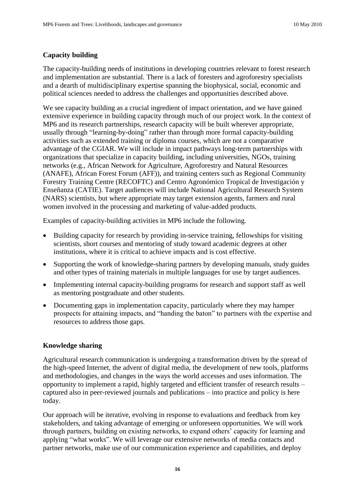### **Capacity building**

The capacity-building needs of institutions in developing countries relevant to forest research and implementation are substantial. There is a lack of foresters and agroforestry specialists and a dearth of multidisciplinary expertise spanning the biophysical, social, economic and political sciences needed to address the challenges and opportunities described above.

We see capacity building as a crucial ingredient of impact orientation, and we have gained extensive experience in building capacity through much of our project work. In the context of MP6 and its research partnerships, research capacity will be built wherever appropriate, usually through "learning-by-doing" rather than through more formal capacity-building activities such as extended training or diploma courses, which are not a comparative advantage of the CGIAR. We will include in impact pathways long-term partnerships with organizations that specialize in capacity building, including universities, NGOs, training networks (e.g., African Network for Agriculture, Agroforestry and Natural Resources (ANAFE), African Forest Forum (AFF)), and training centers such as Regional Community Forestry Training Centre (RECOFTC) and Centro Agronómico Tropical de Investigación y Enseñanza (CATIE). Target audiences will include National Agricultural Research System (NARS) scientists, but where appropriate may target extension agents, farmers and rural women involved in the processing and marketing of value-added products.

Examples of capacity-building activities in MP6 include the following.

- Building capacity for research by providing in-service training, fellowships for visiting scientists, short courses and mentoring of study toward academic degrees at other institutions, where it is critical to achieve impacts and is cost effective.
- Supporting the work of knowledge-sharing partners by developing manuals, study guides and other types of training materials in multiple languages for use by target audiences.
- Implementing internal capacity-building programs for research and support staff as well as mentoring postgraduate and other students.
- Documenting gaps in implementation capacity, particularly where they may hamper prospects for attaining impacts, and "handing the baton" to partners with the expertise and resources to address those gaps.

### **Knowledge sharing**

Agricultural research communication is undergoing a transformation driven by the spread of the high-speed Internet, the advent of digital media, the development of new tools, platforms and methodologies, and changes in the ways the world accesses and uses information. The opportunity to implement a rapid, highly targeted and efficient transfer of research results – captured also in peer-reviewed journals and publications – into practice and policy is here today.

Our approach will be iterative, evolving in response to evaluations and feedback from key stakeholders, and taking advantage of emerging or unforeseen opportunities. We will work through partners, building on existing networks, to expand others' capacity for learning and applying "what works". We will leverage our extensive networks of media contacts and partner networks, make use of our communication experience and capabilities, and deploy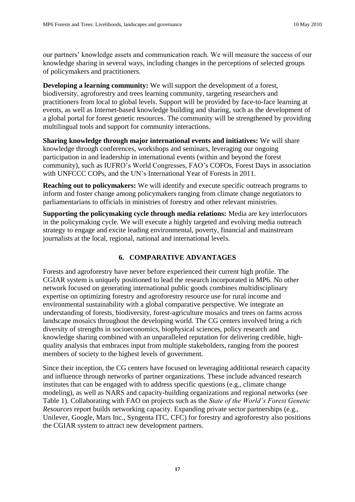our partners' knowledge assets and communication reach. We will measure the success of our knowledge sharing in several ways, including changes in the perceptions of selected groups of policymakers and practitioners.

**Developing a learning community:** We will support the development of a forest, biodiversity, agroforestry and trees learning community, targeting researchers and practitioners from local to global levels. Support will be provided by face-to-face learning at events, as well as Internet-based knowledge building and sharing, such as the development of a global portal for forest genetic resources. The community will be strengthened by providing multilingual tools and support for community interactions.

**Sharing knowledge through major international events and initiatives:** We will share knowledge through conferences, workshops and seminars, leveraging our ongoing participation in and leadership in international events (within and beyond the forest community), such as IUFRO's World Congresses, FAO's COFOs, Forest Days in association with UNFCCC COPs, and the UN's International Year of Forests in 2011.

**Reaching out to policymakers:** We will identify and execute specific outreach programs to inform and foster change among policymakers ranging from climate change negotiators to parliamentarians to officials in ministries of forestry and other relevant ministries.

**Supporting the policymaking cycle through media relations:** Media are key interlocutors in the policymaking cycle. We will execute a highly targeted and evolving media outreach strategy to engage and excite leading environmental, poverty, financial and mainstream journalists at the local, regional, national and international levels.

# **6. COMPARATIVE ADVANTAGES**

Forests and agroforestry have never before experienced their current high profile. The CGIAR system is uniquely positioned to lead the research incorporated in MP6. No other network focused on generating international public goods combines multidisciplinary expertise on optimizing forestry and agroforestry resource use for rural income and environmental sustainability with a global comparative perspective. We integrate an understanding of forests, biodiversity, forest-agriculture mosaics and trees on farms across landscape mosaics throughout the developing world. The CG centers involved bring a rich diversity of strengths in socioeconomics, biophysical sciences, policy research and knowledge sharing combined with an unparalleled reputation for delivering credible, highquality analysis that embraces input from multiple stakeholders, ranging from the poorest members of society to the highest levels of government.

Since their inception, the CG centers have focused on leveraging additional research capacity and influence through networks of partner organizations. These include advanced research institutes that can be engaged with to address specific questions (e.g., climate change modeling), as well as NARS and capacity-building organizations and regional networks (see Table 1). Collaborating with FAO on projects such as the *State of the World's Forest Genetic Resources* report builds networking capacity. Expanding private sector partnerships (e.g., Unilever, Google, Mars Inc., Syngenta ITC, CFC) for forestry and agroforestry also positions the CGIAR system to attract new development partners.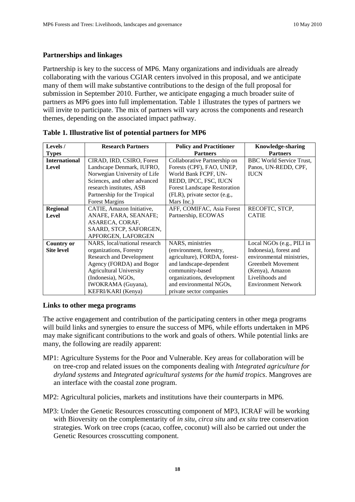# **Partnerships and linkages**

Partnership is key to the success of MP6. Many organizations and individuals are already collaborating with the various CGIAR centers involved in this proposal, and we anticipate many of them will make substantive contributions to the design of the full proposal for submission in September 2010. Further, we anticipate engaging a much broader suite of partners as MP6 goes into full implementation. Table 1 illustrates the types of partners we will invite to participate. The mix of partners will vary across the components and research themes, depending on the associated impact pathway.

| Levels/              | <b>Research Partners</b>        | <b>Policy and Practitioner</b>      | <b>Knowledge-sharing</b>        |  |  |
|----------------------|---------------------------------|-------------------------------------|---------------------------------|--|--|
| <b>Types</b>         |                                 | <b>Partners</b>                     | <b>Partners</b>                 |  |  |
| <b>International</b> | CIRAD, IRD, CSIRO, Forest       | Collaborative Partnership on        | <b>BBC</b> World Service Trust, |  |  |
| Level                | Landscape Denmark, IUFRO,       | Forests (CPF), FAO, UNEP,           | Panos, UN-REDD, CPF,            |  |  |
|                      | Norwegian University of Life    | World Bank FCPF, UN-                | <b>IUCN</b>                     |  |  |
|                      | Sciences, and other advanced    | REDD, IPCC, FSC, IUCN               |                                 |  |  |
|                      | research institutes, ASB        | <b>Forest Landscape Restoration</b> |                                 |  |  |
|                      | Partnership for the Tropical    | (FLR), private sector (e.g.,        |                                 |  |  |
|                      | <b>Forest Margins</b>           | Mars Inc.)                          |                                 |  |  |
| <b>Regional</b>      | CATIE, Amazon Initiative,       | AFF, COMIFAC, Asia Forest           | RECOFTC, STCP,                  |  |  |
| Level                | ANAFE, FARA, SEANAFE;           | Partnership, ECOWAS                 | <b>CATIE</b>                    |  |  |
|                      | ASARECA, CORAF,                 |                                     |                                 |  |  |
|                      | SAARD, STCP, SAFORGEN,          |                                     |                                 |  |  |
|                      | APFORGEN, LAFORGEN              |                                     |                                 |  |  |
| <b>Country or</b>    | NARS, local/national research   | NARS, ministries                    | Local NGOs (e.g., PILI in       |  |  |
| <b>Site level</b>    | organizations, Forestry         | (environment, forestry,             | Indonesia), forest and          |  |  |
|                      | <b>Research and Development</b> | agriculture), FORDA, forest-        | environmental ministries,       |  |  |
|                      | Agency (FORDA) and Bogor        | and landscape-dependent             | <b>Greenbelt Movement</b>       |  |  |
|                      | <b>Agricultural University</b>  | community-based                     | (Kenya), Amazon                 |  |  |
|                      | (Indonesia), NGOs,              | organizations, development          | Livelihoods and                 |  |  |
|                      | IWOKRAMA (Guyana),              | and environmental NGOs,             | <b>Environment Network</b>      |  |  |
|                      | KEFRI/KARI (Kenya)              | private sector companies            |                                 |  |  |

| Table 1. Illustrative list of potential partners for MP6 |  |  |  |
|----------------------------------------------------------|--|--|--|
|----------------------------------------------------------|--|--|--|

# **Links to other mega programs**

The active engagement and contribution of the participating centers in other mega programs will build links and synergies to ensure the success of MP6, while efforts undertaken in MP6 may make significant contributions to the work and goals of others. While potential links are many, the following are readily apparent:

- MP1: Agriculture Systems for the Poor and Vulnerable. Key areas for collaboration will be on tree-crop and related issues on the components dealing with *Integrated agriculture for dryland systems* and *Integrated agricultural systems for the humid tropics*. Mangroves are an interface with the coastal zone program.
- MP2: Agricultural policies, markets and institutions have their counterparts in MP6.
- MP3: Under the Genetic Resources crosscutting component of MP3, ICRAF will be working with Bioversity on the complementarity of *in situ, circa situ* and *ex situ* tree conservation strategies. Work on tree crops (cacao, coffee, coconut) will also be carried out under the Genetic Resources crosscutting component.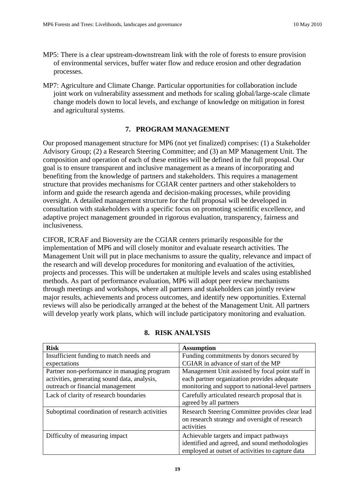- MP5: There is a clear upstream-downstream link with the role of forests to ensure provision of environmental services, buffer water flow and reduce erosion and other degradation processes.
- MP7: Agriculture and Climate Change. Particular opportunities for collaboration include joint work on vulnerability assessment and methods for scaling global/large-scale climate change models down to local levels, and exchange of knowledge on mitigation in forest and agricultural systems.

### **7. PROGRAM MANAGEMENT**

Our proposed management structure for MP6 (not yet finalized) comprises: (1) a Stakeholder Advisory Group; (2) a Research Steering Committee; and (3) an MP Management Unit. The composition and operation of each of these entities will be defined in the full proposal. Our goal is to ensure transparent and inclusive management as a means of incorporating and benefiting from the knowledge of partners and stakeholders. This requires a management structure that provides mechanisms for CGIAR center partners and other stakeholders to inform and guide the research agenda and decision-making processes, while providing oversight. A detailed management structure for the full proposal will be developed in consultation with stakeholders with a specific focus on promoting scientific excellence, and adaptive project management grounded in rigorous evaluation, transparency, fairness and inclusiveness.

CIFOR, ICRAF and Bioversity are the CGIAR centers primarily responsible for the implementation of MP6 and will closely monitor and evaluate research activities. The Management Unit will put in place mechanisms to assure the quality, relevance and impact of the research and will develop procedures for monitoring and evaluation of the activities, projects and processes. This will be undertaken at multiple levels and scales using established methods. As part of performance evaluation, MP6 will adopt peer review mechanisms through meetings and workshops, where all partners and stakeholders can jointly review major results, achievements and process outcomes, and identify new opportunities. External reviews will also be periodically arranged at the behest of the Management Unit. All partners will develop yearly work plans, which will include participatory monitoring and evaluation.

| <b>Risk</b>                                                                                                                     | <b>Assumption</b>                                                                                                                                    |  |  |  |
|---------------------------------------------------------------------------------------------------------------------------------|------------------------------------------------------------------------------------------------------------------------------------------------------|--|--|--|
| Insufficient funding to match needs and                                                                                         | Funding commitments by donors secured by                                                                                                             |  |  |  |
| expectations                                                                                                                    | CGIAR in advance of start of the MP                                                                                                                  |  |  |  |
| Partner non-performance in managing program<br>activities, generating sound data, analysis,<br>outreach or financial management | Management Unit assisted by focal point staff in<br>each partner organization provides adequate<br>monitoring and support to national-level partners |  |  |  |
| Lack of clarity of research boundaries                                                                                          | Carefully articulated research proposal that is<br>agreed by all partners                                                                            |  |  |  |
| Suboptimal coordination of research activities                                                                                  | Research Steering Committee provides clear lead<br>on research strategy and oversight of research<br>activities                                      |  |  |  |
| Difficulty of measuring impact                                                                                                  | Achievable targets and impact pathways<br>identified and agreed, and sound methodologies<br>employed at outset of activities to capture data         |  |  |  |

### **8. RISK ANALYSIS**